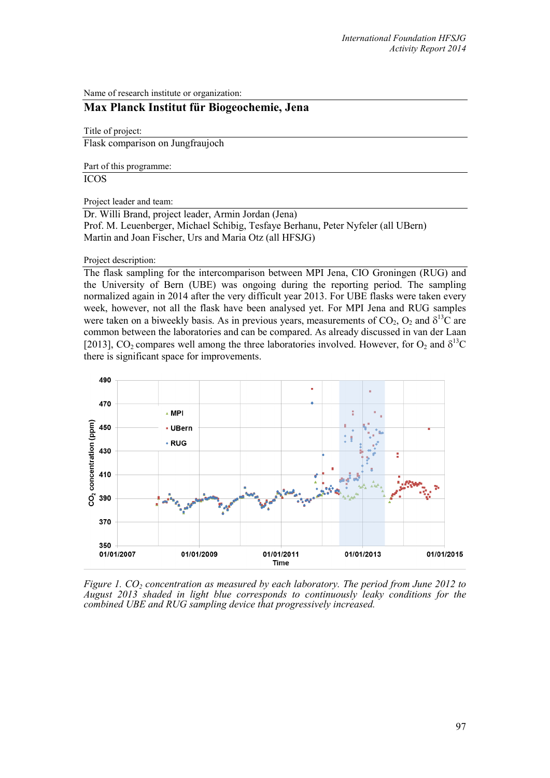Name of research institute or organization:

## **Max Planck Institut für Biogeochemie, Jena**

Title of project:

Flask comparison on Jungfraujoch

Part of this programme:

ICOS

Project leader and team:

Dr. Willi Brand, project leader, Armin Jordan (Jena) Prof. M. Leuenberger, Michael Schibig, Tesfaye Berhanu, Peter Nyfeler (all UBern) Martin and Joan Fischer, Urs and Maria Otz (all HFSJG)

## Project description:

The flask sampling for the intercomparison between MPI Jena, CIO Groningen (RUG) and the University of Bern (UBE) was ongoing during the reporting period. The sampling normalized again in 2014 after the very difficult year 2013. For UBE flasks were taken every week, however, not all the flask have been analysed yet. For MPI Jena and RUG samples were taken on a biweekly basis. As in previous years, measurements of  $CO_2$ ,  $O_2$  and  $\delta^{13}C$  are common between the laboratories and can be compared. As already discussed in van der Laan [2013], CO<sub>2</sub> compares well among the three laboratories involved. However, for O<sub>2</sub> and  $\delta^{13}C$ there is significant space for improvements.



*Figure 1. CO<sub>2</sub> concentration as measured by each laboratory. The period from June 2012 to August 2013 shaded in light blue corresponds to continuously leaky conditions for the combined UBE and RUG sampling device that progressively increased.*